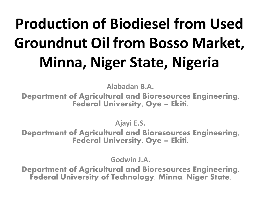# **Production of Biodiesel from Used Groundnut Oil from Bosso Market, Minna, Niger State, Nigeria**

**Alabadan B.A.**

Department of Agricultural and Bioresources Engineering, Federal University, Oye – Ekiti.

**Ajayi E.S.** 

Department of Agricultural and Bioresources Engineering, Federal University, Oye – Ekiti.

**Godwin J.A.**

Department of Agricultural and Bioresources Engineering, Federal University of Technology, Minna, Niger State.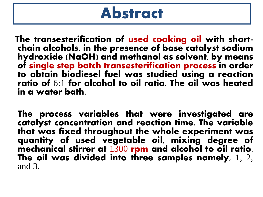### Abstract

The transesterification of used cooking oil with shortchain alcohols, in the presence of base catalyst sodium hydroxide (NaOH) and methanol as solvent, by means of single step batch transesterification process in order to obtain biodiesel fuel was studied using a reaction ratio of 6:1 for alcohol to oil ratio. The oil was heated in a water bath.

 The process variables that were investigated are catalyst concentration and reaction time. The variable that was fixed throughout the whole experiment was quantity of used vegetable oil, mixing degree of mechanical stirrer at 1300 rpm and alcohol to oil ratio. The oil was divided into three samples namely, 1, 2, and 3.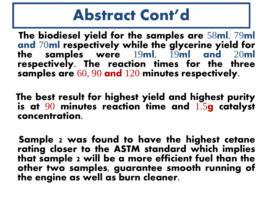# Abstract Cont'd

 The biodiesel yield for the samples are 58ml, 79ml and 70ml respectively while the glycerine yield for the samples were 19ml, 19ml and 20ml respectively. The reaction times for the three samples are 60, 90 and 120 minutes respectively.

 The best result for highest yield and highest purity is at  $90$  minutes reaction time and  $1.5$ g catalyst concentration.

 Sample 2 was found to have the highest cetane rating closer to the ASTM standard which implies that sample 2 will be a more efficient fuel than the other two samples, guarantee smooth running of the engine as well as burn cleaner.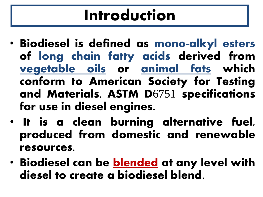# Introduction

- Biodiesel is defined as mono-alkyl esters of long chain fatty acids derived from vegetable oils or animal fats which conform to American Society for Testing and Materials, ASTM D6751 specifications for use in diesel engines.
- It is a clean burning alternative fuel, produced from domestic and renewable resources.
- Biodiesel can be **blended** at any level with diesel to create a biodiesel blend.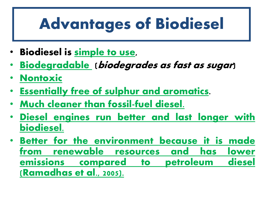# Advantages of Biodiesel

- Biodiesel is **simple to use**,
- **Biodegradable** (biodegrades as fast as sugar)
- **Nontoxic**
- **Essentially free of sulphur and aromatics**.
- **Much cleaner than fossil-fuel diesel.**
- **Diesel engines run better and last longer with biodiesel.**
- **Better for the environment because it is made from renewable resources and has lower emissions compared to petroleum diesel (Ramadhas et al., 2005).**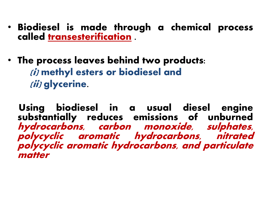- Biodiesel is made through a chemical process called **transesterification** .
- The process leaves behind two products: (i) **methyl esters or biodiesel** and (ii) **glycerine**.

 Using biodiesel in a usual diesel engine substantially reduces emissions of unburned **hydrocarbons, carbon monoxide, sulphates, polycyclic aromatic hydrocarbons, nitrated polycyclic aromatic hydrocarbons, and particulate matter**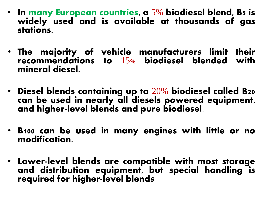- In many European countries, a  $5\%$  biodiesel blend, B5 is widely used and is available at thousands of gas stations.
- The majority of vehicle manufacturers limit their recommendations to 15% biodiesel blended with mineral diesel.
- Diesel blends containing up to  $20\%$  biodiesel called B20 can be used in nearly all diesels powered equipment, and higher-level blends and pure biodiesel.
- B100 can be used in many engines with little or no modification.
- Lower-level blends are compatible with most storage and distribution equipment, but special handling is required for higher-level blends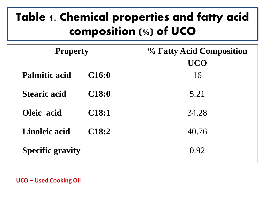### Table 1. Chemical properties and fatty acid composition (%) of UCO

| <b>Property</b>         |                   | % Fatty Acid Composition |  |  |
|-------------------------|-------------------|--------------------------|--|--|
|                         |                   | <b>UCO</b>               |  |  |
| <b>Palmitic acid</b>    | C16:0             | 16                       |  |  |
| <b>Stearic acid</b>     | <b>C18:0</b>      | 5.21                     |  |  |
| Oleic acid              | C <sub>18:1</sub> | 34.28                    |  |  |
| <b>Linoleic acid</b>    | C18:2             | 40.76                    |  |  |
| <b>Specific gravity</b> |                   | 0.92                     |  |  |

**UCO – Used Cooking Oil**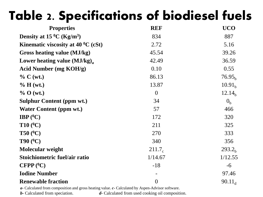### Table 2. Specifications of biodiesel fuels

| <b>REF</b>         | <b>UCO</b>         |
|--------------------|--------------------|
| 834                | 887                |
| 2.72               | 5.16               |
| 45.54              | 39.26              |
| 42.49              | 36.59              |
| 0.10               | 0.55               |
| 86.13              | 76.95 <sub>h</sub> |
| 13.87              | 10.91 <sub>b</sub> |
| $\overline{0}$     | 12.14 <sub>h</sub> |
| 34                 | 0 <sub>h</sub>     |
| 57                 | 466                |
| 172                | 320                |
| 211                | 325                |
| 270                | 333                |
| 340                | 356                |
| 211.7 <sub>c</sub> | 293.2 <sub>h</sub> |
| 1/14.67            | 1/12.55            |
| $-18$              | $-6$               |
|                    | 97.46              |
| $\boldsymbol{0}$   | $90.11_{d}$        |
|                    |                    |

*a-* Calculated from composition and gross heating value. *c-* Calculated by Aspen-Advisor software.

*b-* Calculated from speciation. *d-* Calculated from used cooking oil composition.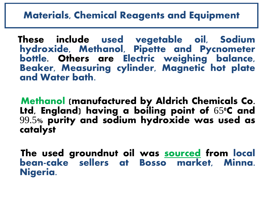#### **Materials, Chemical Reagents and Equipment**

 These include used vegetable oil, Sodium hydroxide, Methanol, Pipette and Pycnometer bottle. Others are Electric weighing balance, Beaker, Measuring cylinder, Magnetic hot plate and Water bath.

 Methanol (manufactured by Aldrich Chemicals Co. Ltd, England) having a boiling point of  $65^{\circ}$ C and 99.5% purity and sodium hydroxide was used as catalyst

The used groundnut oil was sourced from local bean-cake sellers at Bosso market, Minna. Nigeria.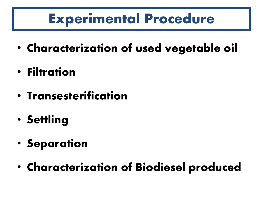# **Experimental Procedure**

- **Characterization of used vegetable oil**
- **Filtration**
- **Transesterification**
- **Settling**
- **Separation**
- **Characterization of Biodiesel produced**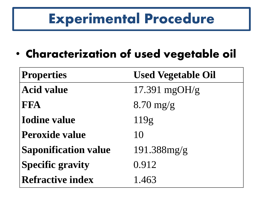# **Experimental Procedure**

• **Characterization of used vegetable oil**

| <b>Properties</b>           | <b>Used Vegetable Oil</b> |
|-----------------------------|---------------------------|
| <b>Acid value</b>           | 17.391 mgOH/g             |
| <b>FFA</b>                  | $8.70$ mg/g               |
| <b>Iodine value</b>         | 119g                      |
| <b>Peroxide value</b>       | 10                        |
| <b>Saponification value</b> | $191.388$ mg/g            |
| <b>Specific gravity</b>     | 0.912                     |
| <b>Refractive index</b>     | 1.463                     |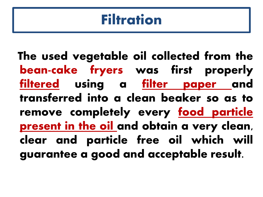### **Filtration**

 The used vegetable oil collected from the bean-cake fryers was first properly filtered using a <u>filter paper a</u>nd transferred into a clean beaker so as to remove completely every food particle present in the oil and obtain a very clean, clear and particle free oil which will guarantee a good and acceptable result.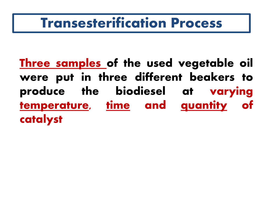### **Transesterification Process**

Three samples of the used vegetable oil were put in three different beakers to produce the biodiesel at varying temperature, time and quantity of catalyst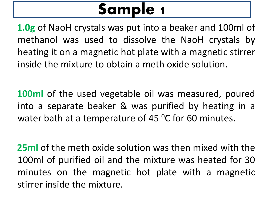# Sample 1

 **1.0g** of NaoH crystals was put into a beaker and 100ml of methanol was used to dissolve the NaoH crystals by heating it on a magnetic hot plate with a magnetic stirrer inside the mixture to obtain a meth oxide solution.

 **100ml** of the used vegetable oil was measured, poured into a separate beaker & was purified by heating in a water bath at a temperature of 45 $\,^0$ C for 60 minutes.

 **25ml** of the meth oxide solution was then mixed with the 100ml of purified oil and the mixture was heated for 30 minutes on the magnetic hot plate with a magnetic stirrer inside the mixture.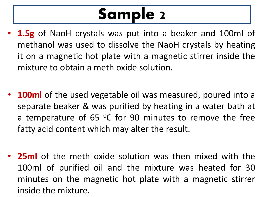# Sample 2

- **1.5g** of NaoH crystals was put into a beaker and 100ml of methanol was used to dissolve the NaoH crystals by heating it on a magnetic hot plate with a magnetic stirrer inside the mixture to obtain a meth oxide solution.
- **100ml** of the used vegetable oil was measured, poured into a separate beaker & was purified by heating in a water bath at a temperature of 65  $^{\circ}$ C for 90 minutes to remove the free fatty acid content which may alter the result.
- **25ml** of the meth oxide solution was then mixed with the 100ml of purified oil and the mixture was heated for 30 minutes on the magnetic hot plate with a magnetic stirrer inside the mixture.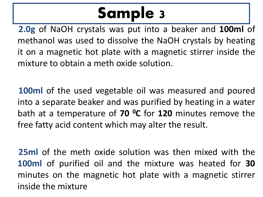# Sample 3

 **2.0g** of NaOH crystals was put into a beaker and **100ml** of methanol was used to dissolve the NaOH crystals by heating it on a magnetic hot plate with a magnetic stirrer inside the mixture to obtain a meth oxide solution.

 **100ml** of the used vegetable oil was measured and poured into a separate beaker and was purified by heating in a water bath at a temperature of **70 <sup>0</sup>C** for **120** minutes remove the free fatty acid content which may alter the result.

 **25ml** of the meth oxide solution was then mixed with the **100ml** of purified oil and the mixture was heated for **30** minutes on the magnetic hot plate with a magnetic stirrer inside the mixture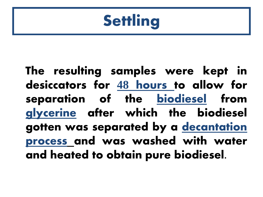# **Settling**

 The resulting samples were kept in desiccators for **48 hours** to allow for separation of the **biodiesel** from **glycerine** after which the biodiesel gotten was separated by a **decantation process** and was washed with water and heated to obtain pure biodiesel.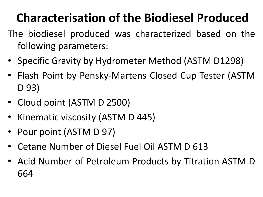### **Characterisation of the Biodiesel Produced**

- The biodiesel produced was characterized based on the following parameters:
- Specific Gravity by Hydrometer Method (ASTM D1298)
- Flash Point by Pensky-Martens Closed Cup Tester (ASTM D 93)
- Cloud point (ASTM D 2500)
- Kinematic viscosity (ASTM D 445)
- Pour point (ASTM D 97)
- Cetane Number of Diesel Fuel Oil ASTM D 613
- Acid Number of Petroleum Products by Titration ASTM D 664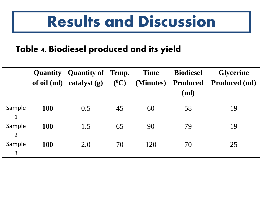# **Results and Discussion**

#### Table 4. Biodiesel produced and its yield

|                          |            | <b>Quantity Quantity of Temp.</b> |         | <b>Time</b> | <b>Biodiesel</b> | <b>Glycerine</b>     |
|--------------------------|------------|-----------------------------------|---------|-------------|------------------|----------------------|
|                          |            | of oil $(ml)$ catalyst $(g)$      | $(^0C)$ | (Minutes)   | <b>Produced</b>  | <b>Produced (ml)</b> |
|                          |            |                                   |         |             | (ml)             |                      |
| Sample<br>$\mathbf 1$    | <b>100</b> | 0.5                               | 45      | 60          | 58               | 19                   |
| Sample<br>$\overline{2}$ | <b>100</b> | 1.5                               | 65      | 90          | 79               | 19                   |
| Sample<br>3              | <b>100</b> | 2.0                               | 70      | 120         | 70               | 25                   |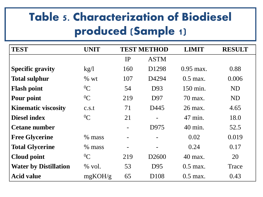### Table 5. Characterization of Biodiesel produced (Sample 1)

| <b>TEST</b>                  | <b>UNIT</b> | <b>TEST METHOD</b> |                   | <b>LIMIT</b> | <b>RESULT</b> |
|------------------------------|-------------|--------------------|-------------------|--------------|---------------|
|                              |             | IP                 | <b>ASTM</b>       |              |               |
| <b>Specific gravity</b>      | kg/l        | 160                | D <sub>1298</sub> | $0.95$ max.  | 0.88          |
| <b>Total sulphur</b>         | % wt        | 107                | D4294             | $0.5$ max.   | 0.006         |
| <b>Flash point</b>           | ${}^{0}C$   | 54                 | D93               | 150 min.     | <b>ND</b>     |
| Pour point                   | ${}^{0}C$   | 219                | D97               | 70 max.      | ND            |
| <b>Kinematic viscosity</b>   | c.s.t       | 71                 | D445              | 26 max.      | 4.65          |
| <b>Diesel index</b>          | ${}^{0}C$   | 21                 |                   | 47 min.      | 18.0          |
| <b>Cetane number</b>         |             |                    | D975              | 40 min.      | 52.5          |
| <b>Free Glycerine</b>        | % mass      |                    |                   | 0.02         | 0.019         |
| <b>Total Glycerine</b>       | % mass      |                    |                   | 0.24         | 0.17          |
| <b>Cloud point</b>           | ${}^{0}C$   | 219                | D <sub>2600</sub> | 40 max.      | 20            |
| <b>Water by Distillation</b> | $%$ vol.    | 53                 | D95               | $0.5$ max.   | Trace         |
| <b>Acid value</b>            | mgKOH/g     | 65                 | D <sub>108</sub>  | $0.5$ max.   | 0.43          |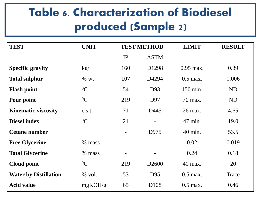### Table 6. Characterization of Biodiesel produced (Sample 2)

| <b>TEST</b>                  | <b>UNIT</b> | <b>TEST METHOD</b> |                   | <b>LIMIT</b> | <b>RESULT</b> |
|------------------------------|-------------|--------------------|-------------------|--------------|---------------|
|                              |             | IP                 | <b>ASTM</b>       |              |               |
| <b>Specific gravity</b>      | kg/l        | 160                | D1298             | $0.95$ max.  | 0.89          |
| <b>Total sulphur</b>         | % wt        | 107                | D4294             | $0.5$ max.   | 0.006         |
| <b>Flash point</b>           | ${}^{0}C$   | 54                 | D93               | 150 min.     | <b>ND</b>     |
| Pour point                   | ${}^{0}C$   | 219                | D97               | 70 max.      | <b>ND</b>     |
| <b>Kinematic viscosity</b>   | c.s.t       | 71                 | D445              | 26 max.      | 4.65          |
| <b>Diesel index</b>          | ${}^{0}C$   | 21                 |                   | 47 min.      | 19.0          |
| <b>Cetane number</b>         |             |                    | D975              | 40 min.      | 53.5          |
| <b>Free Glycerine</b>        | % mass      |                    |                   | 0.02         | 0.019         |
| <b>Total Glycerine</b>       | % mass      |                    |                   | 0.24         | 0.18          |
| <b>Cloud point</b>           | ${}^{0}C$   | 219                | D <sub>2600</sub> | 40 max.      | 20            |
| <b>Water by Distillation</b> | $%$ vol.    | 53                 | D95               | $0.5$ max.   | Trace         |
| <b>Acid value</b>            | mgKOH/g     | 65                 | D <sub>108</sub>  | $0.5$ max.   | 0.46          |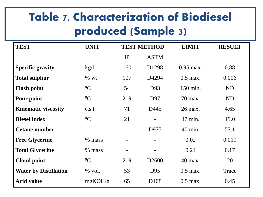### Table 7. Characterization of Biodiesel produced (Sample 3)

| <b>TEST</b>                  | <b>UNIT</b> | <b>TEST METHOD</b> |                   | <b>LIMIT</b> | <b>RESULT</b> |
|------------------------------|-------------|--------------------|-------------------|--------------|---------------|
|                              |             | IP                 | <b>ASTM</b>       |              |               |
| <b>Specific gravity</b>      | kg/l        | 160                | D <sub>1298</sub> | $0.95$ max.  | 0.88          |
| <b>Total sulphur</b>         | % wt        | 107                | D4294             | $0.5$ max.   | 0.006         |
| <b>Flash point</b>           | ${}^{0}C$   | 54                 | D93               | 150 min.     | ND            |
| Pour point                   | ${}^{0}C$   | 219                | D97               | 70 max.      | ND            |
| <b>Kinematic viscosity</b>   | c.s.t       | 71                 | D445              | 26 max.      | 4.65          |
| <b>Diesel index</b>          | ${}^{0}C$   | 21                 |                   | 47 min.      | 19.0          |
| <b>Cetane number</b>         |             |                    | D975              | 40 min.      | 53.1          |
| <b>Free Glycerine</b>        | $%$ mass    |                    |                   | 0.02         | 0.019         |
| <b>Total Glycerine</b>       | % mass      |                    |                   | 0.24         | 0.17          |
| <b>Cloud point</b>           | ${}^{0}C$   | 219                | D <sub>2600</sub> | 40 max.      | 20            |
| <b>Water by Distillation</b> | $%$ vol.    | 53                 | D <sub>95</sub>   | $0.5$ max.   | Trace         |
| <b>Acid value</b>            | mgKOH/g     | 65                 | D <sub>108</sub>  | $0.5$ max.   | 0.45          |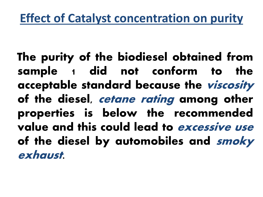The purity of the biodiesel obtained from sample 1 did not conform to the acceptable standard because the viscosity of the diesel, *cetane rating* among other properties is below the recommended value and this could lead to excessive use of the diesel by automobiles and smoky exhaust.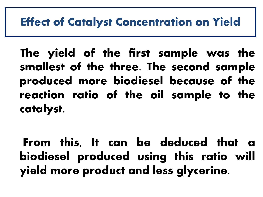#### **Effect of Catalyst Concentration on Yield**

 The yield of the first sample was the smallest of the three. The second sample produced more biodiesel because of the reaction ratio of the oil sample to the catalyst.

 From this, It can be deduced that a biodiesel produced using this ratio will yield more product and less glycerine.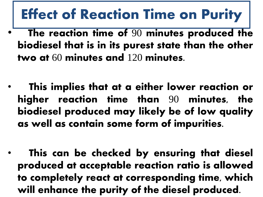## Effect of Reaction Time on Purit**y**

- The reaction time of 90 minutes produced the biodiesel that is in its purest state than the other two at 60 minutes and 120 minutes.
- This implies that at a either lower reaction or higher reaction time than 90 minutes, the biodiesel produced may likely be of low quality as well as contain some form of impurities.
- This can be checked by ensuring that diesel produced at acceptable reaction ratio is allowed to completely react at corresponding time, which will enhance the purity of the diesel produced.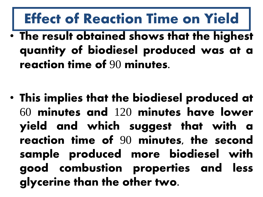# Effect of Reaction Time on Yield

• The result obtained shows that the highest quantity of biodiesel produced was at a reaction time of 90 minutes.

• This implies that the biodiesel produced at 60 minutes and 120 minutes have lower yield and which suggest that with a reaction time of 90 minutes, the second sample produced more biodiesel with good combustion properties and less glycerine than the other two.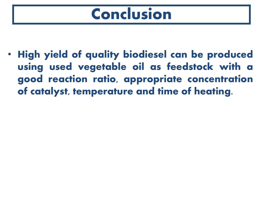# Conclusion

• **High yield of quality biodiesel can be produced using used vegetable oil as feedstock with a good reaction ratio, appropriate concentration of catalyst, temperature and time of heating**.